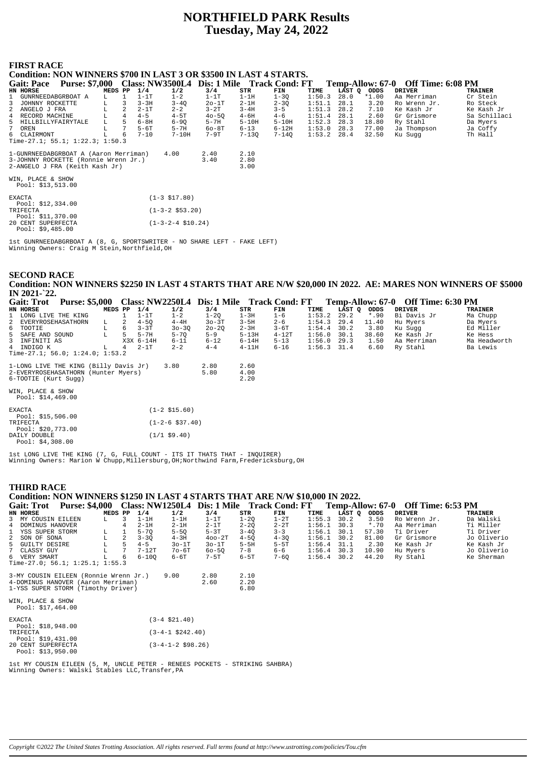# **NORTHFIELD PARK Results Tuesday, May 24, 2022**

### **FIRST RACE**

Pool: \$9,485.00

| . w.                                                                 |                                 |                     |                           |                                    |
|----------------------------------------------------------------------|---------------------------------|---------------------|---------------------------|------------------------------------|
| Condition: NON WINNERS \$700 IN LAST 3 OR \$3500 IN LAST 4 STARTS.   |                                 |                     |                           |                                    |
| Gait: Pace Purse: \$7,000 Class: NW3500L4 Dis: 1 Mile Track Cond: FT |                                 |                     |                           | Temp-Allow: 67-0 Off Time: 6:08 PM |
| HN HORSE<br>MEDS PP                                                  | 1/4<br>1/2<br>3/4               | STR<br>FIN          | LAST Q ODDS<br>TIME       | <b>TRAINER</b><br><b>DRIVER</b>    |
| 1 GUNRNEEDABGRBOAT A<br>L                                            | $1-1T$<br>$1 - 2$<br>$1-1T$     | $1-1H$<br>$1 - 3Q$  | 1:50.3<br>28.0<br>$*1.00$ | Cr Stein<br>Aa Merriman            |
| 3<br>JOHNNY ROCKETTE<br>L.<br>3                                      | $3 - 3H$<br>$3 - 4Q$<br>$2o-1T$ | $2-1H$<br>$2 - 3Q$  | 1:51.1<br>28.1<br>3.20    | Ro Steck<br>Ro Wrenn Jr.           |
| ANGELO J FRA<br>2                                                    | $2 - 2$<br>$3-2T$<br>$2-1T$     | $3 - 4H$<br>$3 - 5$ | 7.10<br>1:51.3<br>28.2    | Ke Kash Jr<br>Ke Kash Jr           |
| L<br>$\overline{4}$<br>4 RECORD MACHINE                              | $4 - 5$<br>$4-5T$<br>$40 - 50$  | 4-6H<br>$4 - 6$     | 1:51.4<br>28.1<br>2.60    | Sa Schillaci<br>Gr Grismore        |
| 5<br>L<br>5 HILLBILLYFAIRYTALE                                       | $6-8H$<br>$6 - 90$<br>$5-7H$    | $5-10H$<br>$5-10H$  | 1:52.3<br>28.3<br>18.80   | Ry Stahl<br>Da Myers               |
| L<br>OREN                                                            | $5-6T$<br>5-7H<br>$60-8T$       | 6-12H<br>$6 - 13$   | 1:53.0<br>28.3<br>77.00   | Ja Thompson<br>Ja Coffy            |
| 6 CLAIRMONT<br>6                                                     | $7-9T$<br>$7 - 10$<br>$7-10H$   | 7-140<br>7-130      | 1:53.2<br>28.4<br>32.50   | Th Hall<br>Ku Suqq                 |
| Time-27.1; $55.1$ ; $1:22.3$ ; $1:50.3$                              |                                 |                     |                           |                                    |
| 1-GUNRNEEDABGRBOAT A (Aaron Merriman)                                | 4.00<br>2.40                    | 2.10                |                           |                                    |
| 3-JOHNNY ROCKETTE (Ronnie Wrenn Jr.)                                 | 3.40                            | 2.80                |                           |                                    |
| 2-ANGELO J FRA (Keith Kash Jr)                                       |                                 | 3.00                |                           |                                    |
|                                                                      |                                 |                     |                           |                                    |
| WIN, PLACE & SHOW                                                    |                                 |                     |                           |                                    |
| Pool: \$13,513.00                                                    |                                 |                     |                           |                                    |
| <b>EXACTA</b>                                                        | $(1-3 \; $17.80)$               |                     |                           |                                    |
| Pool: \$12,334.00                                                    |                                 |                     |                           |                                    |
| TRIFECTA                                                             | $(1-3-2 \; $53.20)$             |                     |                           |                                    |
| Pool: \$11,370.00                                                    |                                 |                     |                           |                                    |
| 20 CENT SUPERFECTA                                                   | $(1-3-2-4 \; \text{$}10.24)$    |                     |                           |                                    |

1st GUNRNEEDABGRBOAT A (8, G, SPORTSWRITER - NO SHARE LEFT - FAKE LEFT) Winning Owners: Craig M Stein,Northfield,OH

## **SECOND RACE Condition: NON WINNERS \$2250 IN LAST 4 STARTS THAT ARE N/W \$20,000 IN 2022. AE: MARES NON WINNERS OF \$5000 IN 2021-`22.**

| <b>Gait: Trot</b>                      | <b>Purse: \$5,000</b>                 |         |    |           |                   | Class: NW2250L4 Dis: 1 Mile Track Cond: FT |           |          |        |        |         | Temp-Allow: 67-0 Off Time: 6:30 PM |                |
|----------------------------------------|---------------------------------------|---------|----|-----------|-------------------|--------------------------------------------|-----------|----------|--------|--------|---------|------------------------------------|----------------|
| HN HORSE                               |                                       | MEDS PP |    | 1/4       | 1/2               | 3/4                                        | STR       | FIN      | TIME   | LAST O | ODDS    | <b>DRIVER</b>                      | <b>TRAINER</b> |
|                                        | 1 LONG LIVE THE KING                  |         |    | $1-1T$    | $1 - 2$           | $1 - 20$                                   | $1-3H$    | $1 - 6$  | 1:53.2 | 29.2   | $*$ .90 | Bi Davis Jr                        | Ma Chupp       |
|                                        | 2 EVERYROSEHASATHORN                  | L.      | 2  | $4 - 50$  | $4-4H$            | $30-3T$                                    | $3-5H$    | $2 - 6$  | 1:54.3 | 29.4   | 11.40   | Hu Myers                           | Da Myers       |
| 6 TOOTIE                               |                                       | L       | 6  | $3 - 3T$  | $30 - 30$         | $20 - 20$                                  | $2 - 3H$  | 3-6T     | 1:54.4 | 30.2   | 3.80    | Ku Sugg                            | Ed Miller      |
| 5 SAFE AND SOUND                       |                                       | L       | 5. | $5-7H$    | $5 - 70$          | $5 - 9$                                    | $5 - 13H$ | $4-12T$  | 1:56.0 | 30.1   | 38.60   | Ke Kash Jr                         | Ke Hess        |
| 3 INFINITI AS                          |                                       |         |    | X3X 6-14H | $6 - 11$          | $6 - 12$                                   | $6 - 14H$ | $5 - 13$ | 1:56.0 | 29.3   | 1.50    | Aa Merriman                        | Ma Headworth   |
| 4 INDIGO K                             |                                       | L       | 4  | $2-1T$    | $2 - 2$           | $4 - 4$                                    | $4-11H$   | $6 - 16$ | 1:56.3 | 31.4   | 6.60    | Ry Stahl                           | Ba Lewis       |
|                                        | Time-27.1; 56.0; 1:24.0; 1:53.2       |         |    |           |                   |                                            |           |          |        |        |         |                                    |                |
|                                        | 1-LONG LIVE THE KING (Billy Davis Jr) |         |    |           | 3.80              | 2.80                                       | 2.60      |          |        |        |         |                                    |                |
|                                        | 2-EVERYROSEHASATHORN (Hunter Myers)   |         |    |           |                   | 5.80                                       | 4.00      |          |        |        |         |                                    |                |
|                                        | 6-TOOTIE (Kurt Sugg)                  |         |    |           |                   |                                            | 2.20      |          |        |        |         |                                    |                |
| WIN, PLACE & SHOW<br>Pool: \$14,469.00 |                                       |         |    |           |                   |                                            |           |          |        |        |         |                                    |                |
| <b>EXACTA</b>                          | Pool: $$15,506.00$                    |         |    |           | $(1-2 \; $15.60)$ |                                            |           |          |        |        |         |                                    |                |

1st LONG LIVE THE KING (7, G, FULL COUNT - ITS IT THATS THAT - INQUIRER) Winning Owners: Marion W Chupp,Millersburg,OH;Northwind Farm,Fredericksburg,OH

**THIRD RACE**

Pool: \$4,308.00

## **Condition: NON WINNERS \$1250 IN LAST 4 STARTS THAT ARE N/W \$10,000 IN 2022.**

| <b>Gait: Trot</b>  | <b>Purse: \$4,000</b>           |         |   |           |           | Class: NW1250L4 Dis: 1 Mile |          | <b>Track Cond: FT</b> |               |        |         | Temp-Allow: 67-0 Off Time: 6:53 PM |                |
|--------------------|---------------------------------|---------|---|-----------|-----------|-----------------------------|----------|-----------------------|---------------|--------|---------|------------------------------------|----------------|
| HN HORSE           |                                 | MEDS PP |   | 1/4       | 1/2       | 3/4                         | STR      | FIN                   | TIME          | LAST O | ODDS    | DRIVER                             | <b>TRAINER</b> |
| 3 MY COUSIN EILEEN |                                 | - L -   |   | $1-1H$    | 1-1H      | $1-1T$                      | 1-20     | $1-2T$                | 1:55.3        | 30.2   | 3.50    | Ro Wrenn Jr.                       | Da Walski      |
| 4 DOMINUS HANOVER  |                                 |         | 4 | $2-1H$    | $2-1H$    | $2-1T$                      | $2 - 20$ | $2 - 2T$              | 1:56.1        | 30.3   | $*$ .70 | Aa Merriman                        | Ti Miller      |
| 1 YSS SUPER STORM  |                                 |         |   | $5 - 70$  | $5 - 50$  | $5-3T$                      | $3 - 40$ | $3 - 3$               | 1:56.1        | 30.1   | 57.30   | Ti Driver                          | Ti Driver      |
| 2 SON OF SONA      |                                 |         | 2 | $3 - 30$  | $4 - 3H$  | $400 - 2T$                  | $4 - 50$ | $4 - 30$              | $1:56.1$ 30.2 |        | 81.00   | Gr Grismore                        | Jo Oliverio    |
| 5 GUILTY DESIRE    |                                 |         |   | $4 - 5$   | $30-1T$   | $30-1T$                     | $5-5H$   | $5-5T$                | $1:56.4$ 31.1 |        | 2.30    | Ke Kash Jr                         | Ke Kash Jr     |
| 7 CLASSY GUY       |                                 |         |   | $7 - 12T$ | $70 - 6T$ | $60 - 50$                   | $7 - 8$  | $6 - 6$               | 1:56.4        | 30.3   | 10.90   | Hu Myers                           | Jo Oliverio    |
| 6 VERY SMART       |                                 |         | 6 | $6 - 100$ | 6-6T      | $7-5T$                      | $6-5T$   | $7 - 60$              | $1:56.4$ 30.2 |        | 44.20   | Ry Stahl                           | Ke Sherman     |
|                    | Time-27.0; 56.1; 1:25.1; 1:55.3 |         |   |           |           |                             |          |                       |               |        |         |                                    |                |

| 3-MY COUSIN EILEEN (Ronnie Wrenn Jr.)<br>4-DOMINUS HANOVER (Aaron Merriman)<br>1-YSS SUPER STORM (Timothy Driver) | 9.00 | 2.80<br>2.60 | 2.10<br>2.20<br>6.80 |
|-------------------------------------------------------------------------------------------------------------------|------|--------------|----------------------|
| WIN, PLACE & SHOW<br>Pool: \$17,464.00                                                                            |      |              |                      |

| <b>EXACTA</b> |                    | $(3-4 \; $21.40)$          |
|---------------|--------------------|----------------------------|
|               | Pool: \$18,948.00  |                            |
| TRIFECTA      |                    | $(3-4-1 \; $242.40)$       |
|               | Pool: $$19.431.00$ |                            |
|               | 20 CENT SUPERFECTA | $(3-4-1-2 \text{ }598.26)$ |
|               | Pool: \$13,950.00  |                            |

TRIFECTA (1-2-6 \$37.40) Pool: \$20,773.00 DAILY DOUBLE (1/1 \$9.40)

1st MY COUSIN EILEEN (5, M, UNCLE PETER - RENEES POCKETS - STRIKING SAHBRA) Winning Owners: Walski Stables LLC,Transfer,PA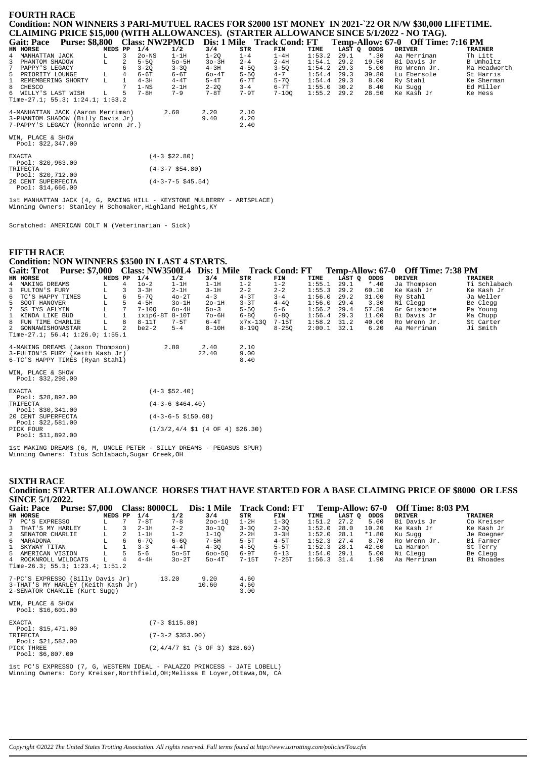## **FOURTH RACE Condition: NON WINNERS 3 PARI-MUTUEL RACES FOR \$2000 1ST MONEY IN 2021-`22 OR N/W \$30,000 LIFETIME. CLAIMING PRICE \$15,000 (WITH ALLOWANCES). (STARTER ALLOWANCE SINCE 5/1/2022 - NO TAG).**

| <b>Gait: Pace</b> |                                     |         |    |          | Purse: \$8,800 Class: NW2PMCD |          |          | Dis: 1 Mile Track Cond: FT |               |      |             | Temp-Allow: 67-0 Off Time: 7:16 PM |                |
|-------------------|-------------------------------------|---------|----|----------|-------------------------------|----------|----------|----------------------------|---------------|------|-------------|------------------------------------|----------------|
| HN HORSE          |                                     | MEDS PP |    | 1/4      | 1/2                           | 3/4      | STR      | FIN                        | TIME          |      | LAST O ODDS | DRIVER                             | <b>TRAINER</b> |
| 4 MANHATTAN JACK  |                                     |         |    | $2o$ -NS | $1-1H$                        | $1 - 20$ | $1 - 4$  | $1-4H$                     | 1:53.2        | 29.1 | $*$ .30     | Aa Merriman                        | Th Litt        |
| 3 PHANTOM SHADOW  |                                     | L       |    | $5 - 50$ | $50 - 5H$                     | $3o-3H$  | $2 - 4$  | $2 - 4H$                   | 1:54.1        | 29.2 | 19.50       | Bi Davis Jr                        | B Umholtz      |
| 7 PAPPY'S LEGACY  |                                     |         | 6  | $3 - 20$ | $3 - 30$                      | $4 - 3H$ | $4 - 50$ | $3 - 50$                   | 1:54.2        | 29.3 | 5.00        | Ro Wrenn Jr.                       | Ma Headworth   |
| 5 PRIORITY LOUNGE |                                     |         | 4  | 6-6T     | 6-6T                          | $60-4T$  | $5 - 50$ | $4 - 7$                    | $1:54.4$ 29.3 |      | 39.80       | Lu Ebersole                        | St Harris      |
|                   | 1 REMEMBERING SHORTY                | L       |    | $4-3H$   | $4-4T$                        | $5-4T$   | 6-7T     | $5 - 70$                   | $1:54.4$ 29.3 |      | 8.00        | Ry Stahl                           | Ke Sherman     |
| 8 CHESCO          |                                     |         |    | $1 - NS$ | $2-1H$                        | $2 - 20$ | $3 - 4$  | 6-7T                       | $1:55.0$ 30.2 |      | 8.40        | Ku Suaa                            | Ed Miller      |
|                   | 6 WILLY'S LAST WISH                 | L.      | 5. | $7-8H$   | $7 - 9$                       | $7-8T$   | $7-9T$   | $7 - 100$                  | $1:55.2$ 29.2 |      | 28.50       | Ke Kash Jr                         | Ke Hess        |
|                   | Time-27.1; 55.3; 1:24.1; 1:53.2     |         |    |          |                               |          |          |                            |               |      |             |                                    |                |
|                   | 4-MANHATTAN JACK (Aaron Merriman)   |         |    |          | 2.60                          | 2.20     | 2.10     |                            |               |      |             |                                    |                |
|                   | 3-PHANTOM SHADOW (Billy Davis Jr)   |         |    |          |                               | 9.40     | 4.20     |                            |               |      |             |                                    |                |
|                   | 7-PAPPY'S LEGACY (Ronnie Wrenn Jr.) |         |    |          |                               |          | 2.40     |                            |               |      |             |                                    |                |

WIN, PLACE & SHOW Pool: \$22,347.00

| <b>EXACTA</b> |                    | $(4-3 \; $22.80)$       |
|---------------|--------------------|-------------------------|
|               | Pool: $$20,963.00$ |                         |
| TRIFECTA      |                    | $(4-3-7 \text{ }54.80)$ |
|               | Pool: \$20,712.00  |                         |
|               | 20 CENT SUPERFECTA | $(4-3-7-5$ \$45.54)     |
|               | Pool: \$14,666.00  |                         |

1st MANHATTAN JACK (4, G, RACING HILL - KEYSTONE MULBERRY - ARTSPLACE) Winning Owners: Stanley H Schomaker, Highland Heights, KY

Scratched: AMERICAN COLT N (Veterinarian - Sick)

# **FIFTH RACE**

# **Condition: NON WINNERS \$3500 IN LAST 4 STARTS.**

| <b>Gait: Trot</b>                                                                                      | <b>Purse: \$7,000</b> |         |   |                 |          | Class: NW3500L4 Dis: 1 Mile |              | <b>Track Cond: FT</b> |               |             |         | Temp-Allow: 67-0 Off Time: 7:38 PM |              |
|--------------------------------------------------------------------------------------------------------|-----------------------|---------|---|-----------------|----------|-----------------------------|--------------|-----------------------|---------------|-------------|---------|------------------------------------|--------------|
| HN HORSE                                                                                               |                       | MEDS PP |   | 1/4             | 1/2      | 3/4                         | STR          | FIN                   | TIME          | LAST O ODDS |         | <b>DRIVER</b>                      | TRAINER      |
| 4 MAKING DREAMS                                                                                        |                       |         |   | $10-2$          | $1-1H$   | $1-1H$                      | $1 - 2$      | $1 - 2$               | 1:55.1        | 29.1        | $*$ .40 | Ja Thompson                        | Ti Schlabach |
| 3 FULTON'S FURY                                                                                        |                       |         |   | $3 - 3H$        | $2-1H$   | $3-1H$                      | $2 - 2$      | $2 - 2$               | 1:55.3        | 29.2        | 60.10   | Ke Kash Jr                         | Ke Kash Jr   |
| 6 TC'S HAPPY TIMES                                                                                     |                       | L.      | 6 | $5 - 70$        | $40-2T$  | $4 - 3$                     | $4 - 3T$     | $3 - 4$               | 1:56.0        | 29.2        | 31.00   | Ry Stahl                           | Ja Weller    |
| 5 SOOT HANOVER                                                                                         |                       |         |   | $4 - 5H$        | $3o-1H$  | $2o-1H$                     | $3 - 3T$     | $4 - 40$              | $1:56.0$ 29.4 |             | 3.30    | Ni Clegg                           | Be Clegg     |
| 7 SS TYS AFLYIN                                                                                        |                       |         |   | $7 - 100$       | $60-4H$  | $50 - 3$                    | $5 - 50$     | $5 - 6$               | 1:56.2        | 29.4        | 57.50   | Gr Grismore                        | Pa Young     |
| 1 KINDA LIKE BUD                                                                                       |                       |         |   | $ixip6-8T8-10T$ |          | $70-6H$                     | $6 - 80$     | $6 - 80$              | 1:56.4        | 29.3        | 11.00   | Bi Davis Jr                        | Ma Chupp     |
| 8 FUN TIME CHARLIE                                                                                     |                       | Tτ.     | 8 | $8 - 11T$       | $7 - 5T$ | 6-4T                        | x7x-130      | 7-15T                 | $1:58.2$ 31.2 |             | 40.00   | Ro Wrenn Jr.                       | St Carter    |
| 2 GONNAWISHONASTAR                                                                                     |                       | т.      |   | $be 2-2$        | $5 - 4$  | $8-10H$                     | 8-190        | $8 - 250$             | $2:00.1$ 32.1 |             | 6.20    | Aa Merriman                        | Ji Smith     |
| Time-27.1; 56.4; 1:26.0; 1:55.1                                                                        |                       |         |   |                 |          |                             |              |                       |               |             |         |                                    |              |
| 4-MAKING DREAMS (Jason Thompson)<br>$\Omega$ with most $\Omega$ minit $\{H_1, H_2, \ldots, H_n, H_n\}$ |                       |         |   |                 | 2.80     | 2.40<br>$00$ $10$           | 2.10<br>0.00 |                       |               |             |         |                                    |              |

| 4-MARING DREAMS (JASON INCHIPSON) | $\lambda$ . OU | . . 40 | 4.LV |
|-----------------------------------|----------------|--------|------|
| 3-FULTON'S FURY (Keith Kash Jr)   |                | 22.40  | 9.00 |
| 6-TC'S HAPPY TIMES (Ryan Stahl)   |                |        | 8.40 |

WIN, PLACE & SHOW Pool: \$32,298.00

| <b>EXACTA</b>      | $(4-3 \; $52.40)$                                            |
|--------------------|--------------------------------------------------------------|
| Pool: \$28,892.00  |                                                              |
| TRIFECTA           | $(4-3-6 \text{ } $464.40)$                                   |
| Pool: $$30,341.00$ |                                                              |
| 20 CENT SUPERFECTA | $(4-3-6-5 \text{ } $150.68)$                                 |
| Pool: $$22,581.00$ |                                                              |
| PICK FOUR          | $(1/3/2, 4/4 \text{ } 51 (4 \text{ } 0F 4) \text{ } $26.30)$ |
| Pool: \$11,892.00  |                                                              |

1st MAKING DREAMS (6, M, UNCLE PETER - SILLY DREAMS - PEGASUS SPUR) Winning Owners: Titus Schlabach,Sugar Creek,OH

## **SIXTH RACE Condition: STARTER ALLOWANCE HORSES THAT HAVE STARTED FOR A BASE CLAIMING PRICE OF \$8000 OR LESS SINCE 5/1/2022.**

| <b>Purse: \$7,000</b><br><b>Gait: Pace</b> |         |   | <b>Class: 8000CL</b> |           | Dis: 1 Mile |          | <b>Track Cond: FT</b> |        | Temp-Allow: 67-0 |         | Off Time: 8:03 PM |                |
|--------------------------------------------|---------|---|----------------------|-----------|-------------|----------|-----------------------|--------|------------------|---------|-------------------|----------------|
| HN HORSE                                   | MEDS PP |   | 1/4                  | 1/2       | 3/4         | STR      | FIN                   | TIME   | LAST O           | ODDS    | <b>DRIVER</b>     | <b>TRAINER</b> |
| 7 PC'S EXPRESSO                            |         |   | $7-8T$               | $7 - 8$   | $200 - 10$  | 1-2H     | $1 - 30$              | 1:51.2 | 27.2             | 5.60    | Bi Davis Jr       | Co Kreiser     |
| 3 THAT'S MY HARLEY                         |         |   | $2 - 1H$             | $2 - 2$   | $30 - 10$   | $3 - 30$ | $2 - 30$              | 1:52.0 | 28.0             | 10.20   | Ke Kash Jr        | Ke Kash Jr     |
| 2 SENATOR CHARLIE                          |         |   | $1-1H$               | $1 - 2$   | 1-10        | $2 - 2H$ | $3 - 3H$              | 1:52.0 | 28.1             | $*1.80$ | Ku Sugg           | Je Roegner     |
| 6 MARADONA                                 |         | 6 | $6 - 70$             | $6 - 60$  | $7 - 5H$    | $5-5T$   | $4-5T$                | 1:52.3 | 27.4             | 8.70    | Ro Wrenn Jr.      | Bi Farmer      |
| 1 SKYWAY TITAN                             |         |   | $3 - 3$              | $4-4T$    | $4 - 30$    | $4 - 50$ | $5-5T$                | 1:52.3 | 28.1             | 42.60   | La Harmon         | St Terry       |
| 5 AMERICAN VISION                          |         |   | $5 - 6$              | $50 - 5T$ | $600 - 50$  | $6-9T$   | $6 - 13$              | 1:54.0 | 29.1             | 5.00    | Ni Clegg          | Be Clegg       |
| 4 ROCKNROLL WILDCATS                       |         | 4 | $4-4H$               | $30-2T$   | $50-4T$     | $7-15T$  | $7 - 25T$             | 1:56.3 | 31.4             | 1.90    | Aa Merriman       | Bi Rhoades     |
| Time-26.3; 55.3; 1:23.4; 1:51.2            |         |   |                      |           |             |          |                       |        |                  |         |                   |                |

| 7-PC'S EXPRESSO (Billy Davis Jr)<br>3-THAT'S MY HARLEY (Keith Kash Jr)<br>2-SENATOR CHARLIE (Kurt Sugg) | 13.20              | 9.20<br>10.60 | 4.60<br>4.60<br>3.00 |
|---------------------------------------------------------------------------------------------------------|--------------------|---------------|----------------------|
| WIN, PLACE & SHOW<br>Pool: \$16,601.00                                                                  |                    |               |                      |
| <b>EXACTA</b>                                                                                           | $(7-3 \; $115.80)$ |               |                      |

| Pool: \$15,471.00 |                                                                             |
|-------------------|-----------------------------------------------------------------------------|
| TRIFECTA          | $(7-3-2 \text{ } $353.00)$                                                  |
| Pool: \$21,582.00 |                                                                             |
| PICK THREE        | $(2,4/4/7 \text{ } $1 \text{ } (3 \text{ } 0F \text{ } 3) \text{ } $28.60)$ |
| Pool: $$6,807.00$ |                                                                             |

1st PC'S EXPRESSO (7, G, WESTERN IDEAL - PALAZZO PRINCESS - JATE LOBELL) Winning Owners: Cory Kreiser,Northfield,OH;Melissa E Loyer,Ottawa,ON, CA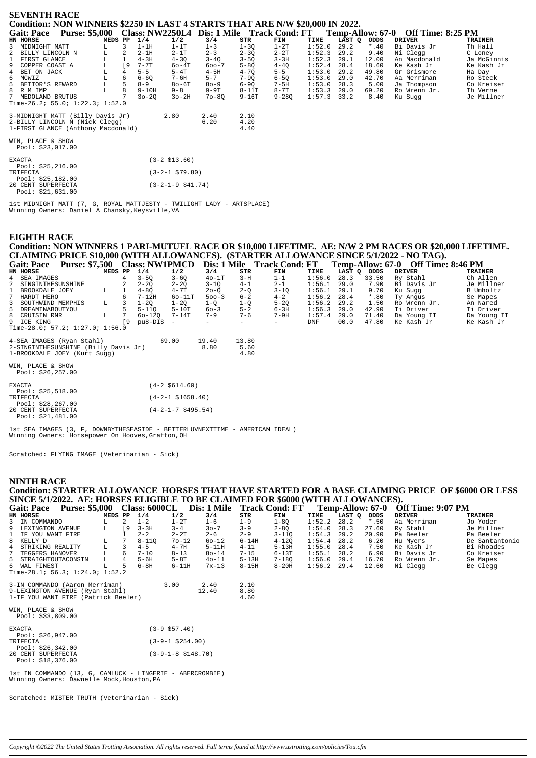| <b>SEVENTH RACE</b><br>Condition: NON WINNERS \$2250 IN LAST 4 STARTS THAT ARE N/W \$20,000 IN 2022.     |                    |                |           |                   |                                            |                      |           |        |        |         |                                    |                |
|----------------------------------------------------------------------------------------------------------|--------------------|----------------|-----------|-------------------|--------------------------------------------|----------------------|-----------|--------|--------|---------|------------------------------------|----------------|
| <b>Purse: \$5,000</b><br><b>Gait: Pace</b>                                                               |                    |                |           |                   | Class: NW2250L4 Dis: 1 Mile Track Cond: FT |                      |           |        |        |         | Temp-Allow: 67-0 Off Time: 8:25 PM |                |
| HN HORSE                                                                                                 | MEDS PP            |                | 1/4       | 1/2               | 3/4                                        | STR                  | FIN       | TIME   | LAST Q | ODDS    | <b>DRIVER</b>                      | <b>TRAINER</b> |
| MIDNIGHT MATT<br>3                                                                                       |                    | 3              | $1-1H$    | $1-1T$            | $1 - 3$                                    | $1 - 3Q$             | $1-2T$    | 1:52.0 | 29.2   | $*$ .40 | Bi Davis Jr                        | Th Hall        |
| BILLY LINCOLN N                                                                                          | L                  | 2              | $2-1H$    | $2-1T$            | $2 - 3$                                    | $2 - 3Q$             | $2 - 2T$  | 1:52.3 | 29.2   | 9.40    | Ni Clegg                           | C Loney        |
| FIRST GLANCE<br>1                                                                                        | г                  |                | $4-3H$    | $4 - 3Q$          | $3 - 4Q$                                   | $3 - 5Q$             | $3 - 3H$  | 1:52.3 | 29.1   | 12.00   | An Macdonald                       | Ja McGinnis    |
| 9<br>COPPER COAST A                                                                                      |                    | [9             | $7 - 7T$  | $60-4T$           | $600 - 7$                                  | $5 - 80$             | $4 - 4Q$  | 1:52.4 | 28.4   | 18.60   | Ke Kash Jr                         | Ke Kash Jr     |
| BET ON JACK<br>$\overline{4}$                                                                            | $^{\rm L}_{\rm L}$ | $\overline{4}$ | $5 - 5$   | $5-4T$            | $4-5H$                                     | $4 - 70$             | $5 - 5$   | 1:53.0 | 29.2   | 49.80   | Gr Grismore                        | Ha Day         |
| 6 MCWIZ                                                                                                  |                    | 6              | $6 - 6Q$  | 7-6H              | $5 - 7$                                    | $7-9Q$               | $6-5Q$    | 1:53.0 | 29.0   | 42.70   | Aa Merriman                        | Ro Steck       |
| 5<br>BETTOR'S REWARD                                                                                     | $\mathbb L$        | 5              | $8 - 9$   | $80-6T$           | $80 - 9$                                   | $6 - 9Q$             | $7-5H$    | 1:53.0 | 28.3   | 5.00    | Ja Thompson                        | Co Kreiser     |
| 8<br>R M IMP                                                                                             | $\mathbb L$        | 8              | $9-10H$   | $9 - 8$           | $9-9T$                                     | $8 - 11T$            | $8 - 7T$  | 1:53.3 | 29.0   | 69.20   | Ro Wrenn Jr.                       | Th Verne       |
| 7 MEDOLAND BRUTUS                                                                                        |                    |                | $30 - 20$ | $3o-2H$           | $70 - 80$                                  | $9 - 16T$            | $9 - 28Q$ | 1:57.3 | 33.2   | 8.40    | Ku Sugg                            | Je Millner     |
| Time-26.2; 55.0; $1:22.3$ ; $1:52.0$                                                                     |                    |                |           |                   |                                            |                      |           |        |        |         |                                    |                |
| 3-MIDNIGHT MATT (Billy Davis Jr)<br>2-BILLY LINCOLN N (Nick Clegg)<br>1-FIRST GLANCE (Anthony Macdonald) |                    |                |           | 2.80              | 2.40<br>6.20                               | 2.10<br>4.20<br>4.40 |           |        |        |         |                                    |                |
| WIN, PLACE & SHOW<br>Pool: \$23,017.00                                                                   |                    |                |           |                   |                                            |                      |           |        |        |         |                                    |                |
| <b>EXACTA</b><br>Pool: $$25, 216.00$                                                                     |                    |                |           | $(3-2 \; $13.60)$ |                                            |                      |           |        |        |         |                                    |                |
| TRIFECTA<br>Pool: \$25,182.00                                                                            |                    |                |           | $(3-2-1$ \$79.80) |                                            |                      |           |        |        |         |                                    |                |
| 20 CENT SUPERFECTA                                                                                       |                    |                |           | (3-2-1-9 \$41.74) |                                            |                      |           |        |        |         |                                    |                |

lst MIDNIGHT MATT (7, G, ROYAL MATTJESTY - TWILIGHT LADY - ARTSPLACE)<br>Winning Owners: Daniel A Chansky, Keysville, VA

#### **EIGHTH RACE**

Pool: \$21,631.00

# Condition: NON WINNERS 1 PARI-MUTUEL RACE OR \$10,000 LIFETIME. AE: N/W 2 PM RACES OR \$20,000 LIFETIME. CLAIMING PRICE \$10,000 (WITH ALLOWANCES). (STARTER ALLOWANCE SINCE 5/1/2022 - NO TAG).

| <b>Gait: Pace</b>   | Purse: \$7,500 Class: NW1PMCD        |         |      |            |            |           |         | Dis: 1 Mile Track Cond: FT |               |        |         | Temp-Allow: 67-0 Off Time: 8:46 PM |                |
|---------------------|--------------------------------------|---------|------|------------|------------|-----------|---------|----------------------------|---------------|--------|---------|------------------------------------|----------------|
| HN HORSE            |                                      | MEDS PP |      | 1/4        | 1/2        | 3/4       | STR     | FIN                        | TIME          | LAST Q | ODDS    | <b>DRIVER</b>                      | <b>TRAINER</b> |
| 4 SEA IMAGES        |                                      |         | 4    | $3 - 50$   | $3 - 60$   | $40-1T$   | $3-H$   | $1 - 1$                    | 1:56.0        | 28.3   | 33.50   | Ry Stahl                           | Ch Allen       |
| 2 SINGINTHESUNSHINE |                                      |         | 2    | $2 - 20$   | $2 - 20$   | $3 - 10$  | $4 - 1$ | $2 - 1$                    | $1:56.1$ 29.0 |        | 7.90    | Bi Davis Jr                        | Je Millner     |
| 1 BROOKDALE JOEY    |                                      | L       | -1   | $4 - 80$   | $4 - 7T$   | $20 - 0$  | $2 - 0$ | $3 - 10$                   | $1:56.1$ 29.1 |        | 9.70    | Ku Suqq                            | B Umholtz      |
| 7 HARDT HERO        |                                      |         | 6    | 7-12H      | $60 - 11T$ | $500 - 3$ | $6 - 2$ | $4 - 2$                    | $1:56.2$ 28.4 |        | $*$ .80 | Ty Angus                           | Se Mapes       |
| 3 SOUTHWIND MEMPHIS |                                      | L.      |      | $1 - 20$   | $1 - 20$   | 1-0       | $1 - 0$ | $5 - 20$                   | $1:56.2$ 29.2 |        | 1.50    | Ro Wrenn Jr.                       | An Nared       |
| 5 DREAMINABOUTYOU   |                                      |         | 5    | $5 - 110$  | $5-10T$    | $60 - 3$  | $5 - 2$ | $6-3H$                     | 1:56.3        | 29.0   | 42.90   | Ti Driver                          | Ti Driver      |
| 8 CRUISIN RNR       |                                      | L       |      | $60 - 120$ | 7-14T      | $7 - 9$   | $7 - 6$ | $7-9H$                     | 1:57.4        | 29.0   | 71.40   | Da Young II                        | Da Young II    |
| 9 ICE KING          |                                      |         | I 9. | pu8-DIS    |            |           |         | $ -$                       | DNF           | 00.0   | 47.80   | Ke Kash Jr                         | Ke Kash Jr     |
|                     | Time-28.0; 57.2; $1:27.0$ ; $1:56.0$ |         |      |            |            |           |         |                            |               |        |         |                                    |                |
|                     |                                      |         |      |            |            |           |         |                            |               |        |         |                                    |                |
|                     | 4-SEA IMAGES (Ryan Stahl)            |         |      |            | 69.00      | 19.40     | 13.80   |                            |               |        |         |                                    |                |
|                     | 2-SINGINTHESUNSHINE (Billy Davis Jr) |         |      |            |            | 8.80      | 5.60    |                            |               |        |         |                                    |                |
|                     | 1-BROOKDALE JOEY (Kurt Sugg)         |         |      |            |            |           | 4.80    |                            |               |        |         |                                    |                |
| WIN, PLACE & SHOW   |                                      |         |      |            |            |           |         |                            |               |        |         |                                    |                |
| Pool: \$26,257.00   |                                      |         |      |            |            |           |         |                            |               |        |         |                                    |                |
|                     |                                      |         |      |            |            |           |         |                            |               |        |         |                                    |                |

| <b>EXACTA</b> |                     | $(4-2 \, \text{S}614.60)$    |
|---------------|---------------------|------------------------------|
|               | Pool: \$25,518.00   |                              |
| TRIFECTA      |                     | $(4-2-1 \; \text{S}1658.40)$ |
|               | Pool: $$28, 267.00$ |                              |
|               | 20 CENT SUPERFECTA  | $(4-2-1-7$ \$495.54)         |
|               | Pool: \$21,481.00   |                              |

lst SEA IMAGES (3, F, DOWNBYTHESEASIDE - BETTERLUVNEXTTIME - AMERICAN IDEAL)<br>Winning Owners: Horsepower On Hooves,Grafton,OH

Scratched: FLYING IMAGE (Veterinarian - Sick)

#### **NINTH RACE**

## Condition: STARTER ALLOWANCE HORSES THAT HAVE STARTED FOR A BASE CLAIMING PRICE OF \$6000 OR LESS SINCE 5/1/2022. AE: HORSES ELIGIBLE TO BE CLAIMED FOR \$6000 (WITH ALLOWANCES).

| <b>Gait: Pace</b><br><b>Purse: \$5,000</b> |         |    | <b>Class: 6000CL</b> |           | Dis: 1 Mile |           | <b>Track Cond: FT</b> |               | Temp-Allow: 67-0 |         | <b>Off Time: 9:07 PM</b> |                |
|--------------------------------------------|---------|----|----------------------|-----------|-------------|-----------|-----------------------|---------------|------------------|---------|--------------------------|----------------|
| HN HORSE                                   | MEDS PP |    | 1/4                  | 1/2       | 3/4         | STR       | FIN                   | TIME          | LAST O           | ODDS    | <b>DRIVER</b>            | <b>TRAINER</b> |
| 3 IN COMMANDO                              |         |    | 1-2                  | $1-2T$    | 1-6         | 1-9       | 1-80                  | 1:52.2        | 28.2             | $*$ .50 | Aa Merriman              | Jo Yoder       |
| 9 LEXINGTON AVENUE                         |         | 0° | $3 - 3H$             | $3 - 4$   | $30 - 7$    | $3 - 9$   | $2 - 80$              | 1:54.0        | 28.3             | 27.60   | Ry Stahl                 | Je Millner     |
| 1 IF YOU WANT FIRE                         |         |    | $2 - 2$              | $2 - 2T$  | $2 - 6$     | $2 - 9$   | $3 - 110$             | $1:54.3$ 29.2 |                  | 20.90   | Pa Beeler                | Pa Beeler      |
| 8 KELLY D                                  |         |    | $8 - 110$            | $70 - 12$ | $60 - 12$   | $6 - 14H$ | $4 - 120$             | $1:54.4$ 28.2 |                  | 6.20    | Hu Myers                 | De Santantonio |
| 4 STRIKING REALITY                         |         |    | $4 - 5$              | $4 - 7H$  | $5 - 11H$   | $4 - 11$  | $5 - 13H$             | 1:55.0        | 28.4             | 7.50    | Ke Kash Jr               | Bi Rhoades     |
| 7 TEGGERS HANOVER                          |         | 6. | $7 - 10$             | $8 - 13$  | $80 - 14$   | $7 - 15$  | $6 - 13T$             | 1:55.1        | 28.2             | 6.90    | Bi Davis Jr              | Co Kreiser     |
| 5 STRAIGHTOUTACONSIN                       | T.      |    | $5 - 6H$             | $5-8T$    | $40 - 11$   | $5 - 13H$ | $7 - 180$             | $1:56.0$ 29.4 |                  | 16.70   | Ro Wrenn Jr.             | Se Mapes       |
| 6 WAL FINEST                               |         | ь. | $6 - 8H$             | $6-11H$   | $7x-13$     | $8 - 15H$ | $8 - 20H$             | $1:56.2$ 29.4 |                  | 12.60   | Ni Cleaa                 | Be Clegg       |
| Time-28.1; 56.3; 1:24.0; 1:52.2            |         |    |                      |           |             |           |                       |               |                  |         |                          |                |

| 3-IN COMMANDO (Aaron Merriman)<br>9-LEXINGTON AVENUE (Ryan Stahl)<br>1-IF YOU WANT FIRE (Patrick Beeler) | 3.00                    | 2.40<br>12.40 | 2.10<br>8.80<br>4.60 |
|----------------------------------------------------------------------------------------------------------|-------------------------|---------------|----------------------|
| WIN, PLACE & SHOW<br>Pool: \$33,809.00                                                                   |                         |               |                      |
| <b>EXACTA</b><br>Pool: \$26,947.00                                                                       | $(3-9 \text{ } $57.40)$ |               |                      |

| TR I FECTA |                    | $(3-9-1 \; $254.00)$        |
|------------|--------------------|-----------------------------|
|            | Pool: $$26,342.00$ |                             |
|            | 20 CENT SUPERFECTA | $(3-9-1-8 \text{ }5148.70)$ |
|            | Pool: $$18.376.00$ |                             |

1st IN COMMANDO (13, G, CAMLUCK - LINGERIE - ABERCROMBIE)<br>Winning Owners: Dawnelle Mock, Houston, PA

```
Scratched: MISTER TRUTH (Veterinarian - Sick)
```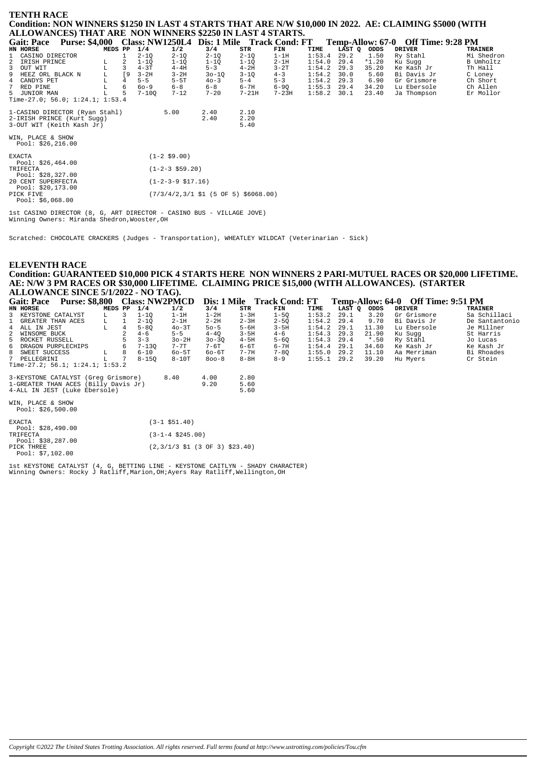### **TENTH RACE**

Condition: NON WINNERS \$1250 IN LAST 4 STARTS THAT ARE N/W \$10,000 IN 2022. AE: CLAIMING \$5000 (WITH ALLOWANCES) THAT ARE NON WINNERS \$2250 IN LAST 4 STARTS.

| <b>Gait: Pace</b>                                            | <b>Purse: \$4,000</b> |         |                |           |                              | Class: NW1250L4 Dis: 1 Mile Track Cond: FT                                |              |           |        |             |         | Temp-Allow: 67-0 Off Time: 9:28 PM |                |
|--------------------------------------------------------------|-----------------------|---------|----------------|-----------|------------------------------|---------------------------------------------------------------------------|--------------|-----------|--------|-------------|---------|------------------------------------|----------------|
| HN HORSE                                                     |                       | MEDS PP |                | 1/4       | 1/2                          | 3/4                                                                       | STR          | FIN       | TIME   | LAST Q ODDS |         | <b>DRIVER</b>                      | <b>TRAINER</b> |
| 1 CASINO DIRECTOR                                            |                       |         |                | $2 - 1Q$  | $2 - 1Q$                     | $2 - 1Q$                                                                  | $2 - 1Q$     | $1-1H$    | 1:53.4 | 29.2        | 1.50    | Ry Stahl                           | Mi Shedron     |
| 2 IRISH PRINCE                                               |                       | L       | 2              | $1 - 1Q$  | $1 - 1Q$                     | $1 - 1Q$                                                                  | $1 - 1Q$     | $2 - 1H$  | 1:54.0 | 29.4        | $*1.20$ | Ku Sugg                            | B Umholtz      |
| 3 OUT WIT                                                    |                       | г       | 3              | $4 - 3T$  | $4-4H$                       | $5 - 3$                                                                   | $4-2H$       | $3-2T$    | 1:54.2 | 29.3        | 35.20   | Ke Kash Jr                         | Th Hall        |
| 9 HEEZ ORL BLACK N                                           |                       | г       | [9             | $3-2H$    | $3 - 2H$                     | $30 - 10$                                                                 | $3 - 1Q$     | $4 - 3$   | 1:54.2 | 30.0        | 5.60    | Bi Davis Jr                        | C Loney        |
| 4 CANDYS PET                                                 |                       |         | $\overline{4}$ | $5 - 5$   | $5-5T$                       | $40 - 3$                                                                  | $5 - 4$      | $5 - 3$   | 1:54.2 | 29.3        | 6.90    | Gr Grismore                        | Ch Short       |
| 7<br>RED PINE                                                |                       |         | 6              | $60 - 9$  | $6 - 8$                      | $6 - 8$                                                                   | $6 - 7H$     | $6 - 90$  | 1:55.3 | 29.4        | 34.20   | Lu Ebersole                        | Ch Allen       |
| 5 JUNIOR MAN                                                 |                       |         | 5              | $7 - 10Q$ | $7 - 12$                     | $7 - 20$                                                                  | $7 - 21H$    | $7 - 23H$ | 1:58.2 | 30.1        | 23.40   | Ja Thompson                        | Er Mollor      |
| Time-27.0; 56.0; 1:24.1; 1:53.4                              |                       |         |                |           |                              |                                                                           |              |           |        |             |         |                                    |                |
| 1-CASINO DIRECTOR (Ryan Stahl)<br>2-IRISH PRINCE (Kurt Sugg) |                       |         |                |           | 5.00                         | 2.40<br>2.40                                                              | 2.10<br>2.20 |           |        |             |         |                                    |                |
| 3-OUT WIT (Keith Kash Jr)                                    |                       |         |                |           |                              |                                                                           | 5.40         |           |        |             |         |                                    |                |
| WIN, PLACE & SHOW<br>Pool: $$26, 216.00$                     |                       |         |                |           |                              |                                                                           |              |           |        |             |         |                                    |                |
| <b>EXACTA</b><br>Pool: $$26,464.00$                          |                       |         |                |           | $(1 - 2 \ $9.00)$            |                                                                           |              |           |        |             |         |                                    |                |
| TRIFECTA<br>Pool: $$28,327.00$                               |                       |         |                |           | $(1-2-3$ \$59.20)            |                                                                           |              |           |        |             |         |                                    |                |
| 20 CENT SUPERFECTA<br>Pool: \$20,173.00                      |                       |         |                |           | $(1-2-3-9 \; \text{S}17.16)$ |                                                                           |              |           |        |             |         |                                    |                |
| PICK FIVE<br>Pool: \$6,068.00                                |                       |         |                |           |                              | $(7/3/4/2, 3/1 \; \text{S1} \; (5 \; \text{OF} \; 5) \; \text{$6068.00)}$ |              |           |        |             |         |                                    |                |

lst CASINO DIRECTOR (8, G, ART DIRECTOR - CASINO BUS - VILLAGE JOVE)<br>Winning Owners: Miranda Shedron, Wooster, OH

Scratched: CHOCOLATE CRACKERS (Judges - Transportation), WHEATLEY WILDCAT (Veterinarian - Sick)

#### **ELEVENTH RACE**

Condition: GUARANTEED \$10,000 PICK 4 STARTS HERE NON WINNERS 2 PARI-MUTUEL RACES OR \$20,000 LIFETIME.<br>AE: N/W 3 PM RACES OR \$30,000 LIFETIME. CLAIMING PRICE \$15,000 (WITH ALLOWANCES). (STARTER ALLOWANCE SINCE 5/1/2022 - NO TAG).

| <b>Purse: \$8,800</b><br><b>Gait: Pace</b> |         |   |           | <b>Class: NW2PMCD</b>                                                       |           |          | Dis: 1 Mile Track Cond: FT |        |        |         | Temp-Allow: 64-0 Off Time: 9:51 PM |                |
|--------------------------------------------|---------|---|-----------|-----------------------------------------------------------------------------|-----------|----------|----------------------------|--------|--------|---------|------------------------------------|----------------|
| HN HORSE                                   | MEDS PP |   | 1/4       | 1/2                                                                         | 3/4       | STR      | FIN                        | TIME   | LAST Q | ODDS    | <b>DRIVER</b>                      | <b>TRAINER</b> |
| 3 KEYSTONE CATALYST                        | L       |   | $1 - 10$  | $1-1H$                                                                      | $1-2H$    | $1-3H$   | $1 - 50$                   | 1:53.2 | 29.1   | 3.20    | Gr Grismore                        | Sa Schillaci   |
| 1 GREATER THAN ACES                        | L       |   | $2 - 1Q$  | $2-1H$                                                                      | $2 - 2H$  | $2 - 3H$ | $2 - 50$                   | 1:54.2 | 29.4   | 9.70    | Bi Davis Jr                        | De Santantonio |
| 4 ALL IN JEST                              | L       |   | $5 - 80$  | $40-3T$                                                                     | $50 - 5$  | $5 - 6H$ | $3-5H$                     | 1:54.2 | 29.1   | 11.30   | Lu Ebersole                        | Je Millner     |
| 2 WINSOME BUCK                             |         |   | $4 - 6$   | $5 - 5$                                                                     | $4-4Q$    | $3 - 5H$ | $4 - 6$                    | 1:54.3 | 29.3   | 21.90   | Ku Sugg                            | St Harris      |
| 5 ROCKET RUSSELL                           |         |   | $3 - 3$   | $3o-2H$                                                                     | $30 - 30$ | $4-5H$   | $5 - 60$                   | 1:54.3 | 29.4   | $*$ .50 | Ry Stahl                           | Jo Lucas       |
| 6 DRAGON PURPLECHIPS                       |         |   | $7 - 130$ | $7 - 7$ T                                                                   | 7-6T      | $6 - 6T$ | $6 - 7H$                   | 1:54.4 | 29.1   | 34.60   | Ke Kash Jr                         | Ke Kash Jr     |
| 8 SWEET SUCCESS                            | L.      | 8 | $6 - 10$  | $60-5T$                                                                     | $60 - 6T$ | $7 - 7H$ | $7 - 8Q$                   | 1:55.0 | 29.2   | 11.10   | Aa Merriman                        | Bi Rhoades     |
| 7 PELLEGRINI                               |         |   | $8 - 150$ | $8-10T$                                                                     | $800 - 8$ | $8-8H$   | $8 - 9$                    | 1:55.1 | 29.2   | 39.20   | Hu Myers                           | Cr Stein       |
| Time-27.2; $56.1; 1:24.1; 1:53.2$          |         |   |           |                                                                             |           |          |                            |        |        |         |                                    |                |
| 3-KEYSTONE CATALYST (Greq Grismore)        |         |   |           | 8.40                                                                        | 4.00      | 2.80     |                            |        |        |         |                                    |                |
| 1-GREATER THAN ACES (Billy Davis Jr)       |         |   |           |                                                                             | 9.20      | 5.60     |                            |        |        |         |                                    |                |
| 4-ALL IN JEST (Luke Ebersole)              |         |   |           |                                                                             |           | 5.60     |                            |        |        |         |                                    |                |
| WIN, PLACE & SHOW<br>Pool: \$26,500.00     |         |   |           |                                                                             |           |          |                            |        |        |         |                                    |                |
| <b>EXACTA</b><br>Pool: \$28,490.00         |         |   |           | $(3-1$ \$51.40)                                                             |           |          |                            |        |        |         |                                    |                |
| TRIFECTA<br>Pool: \$38,287.00              |         |   |           | $(3-1-4 \ $245.00)$                                                         |           |          |                            |        |        |         |                                    |                |
| PICK THREE<br>Pool: $$7,102.00$            |         |   |           | $(2,3/1/3 \text{ } 51 \text{ } (3 \text{ } 0F \text{ } 3) \text{ } $23.40)$ |           |          |                            |        |        |         |                                    |                |

 $1st$  KEYSTONE CATALYST (4, G, BETTING LINE - KEYSTONE CAITLYN - SHADY CHARACTER) Winning Owners: Rocky J Ratliff, Marion, OH; Ayers Ray Ratliff, Wellington, OH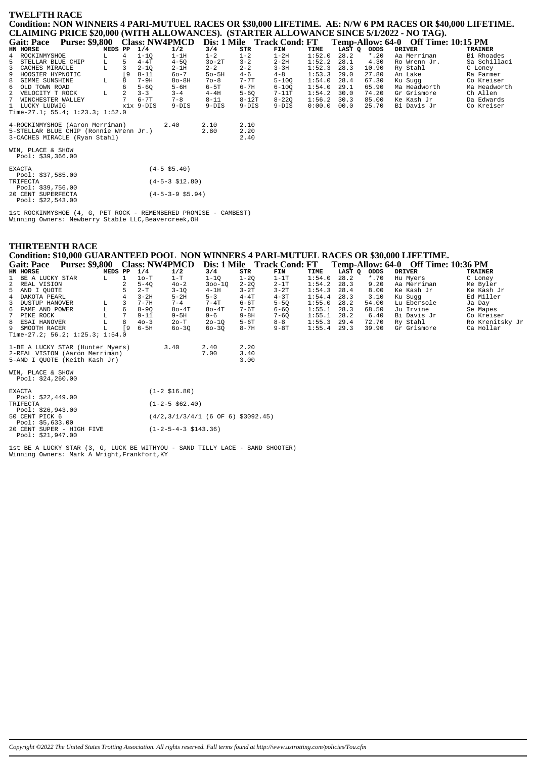# **TWELFTH RACE** Condition: NON WINNERS 4 PARI-MUTUEL RACES OR \$30,000 LIFETIME. AE: N/W 6 PM RACES OR \$40,000 LIFETIME. CLAIMING PRICE \$20,000 (WITH ALLOWANCES). (STARTER ALLOWANCE SINCE 5/1/2022 - NO TAG).

|                                         |         |           |           |                            |           |          |           |               |        |         | Gait: Pace Purse: \$9,800 Class: NW4PMCD Dis: 1 Mile Track Cond: FT Temp-Allow: 64-0 Off Time: 10:15 PM |                |
|-----------------------------------------|---------|-----------|-----------|----------------------------|-----------|----------|-----------|---------------|--------|---------|---------------------------------------------------------------------------------------------------------|----------------|
| HN HORSE                                | MEDS PP |           | 1/4       | 1/2                        | 3/4       | STR      | FIN       | TIME          | LAST Q | ODDS    | <b>DRIVER</b>                                                                                           | <b>TRAINER</b> |
| 4 ROCKINMYSHOE                          | L.      | 4         | $1 - 10$  | $1-1H$                     | $1 - 2$   | $1 - 2$  | $1-2H$    | 1:52.0        | 28.2   | $*$ .20 | Aa Merriman                                                                                             | Bi Rhoades     |
| 5 STELLAR BLUE CHIP                     | L.      | -5        | $4-4T$    | $4 - 5Q$                   | $30-2T$   | $3 - 2$  | $2 - 2H$  | 1:52.2        | 28.1   | 4.30    | Ro Wrenn Jr.                                                                                            | Sa Schillaci   |
| 3 CACHES MIRACLE                        | L       |           | $2 - 10$  | $2-1H$                     | $2 - 2$   | $2 - 2$  | $3 - 3H$  | 1:52.3        | 28.3   | 10.90   | Ry Stahl                                                                                                | C Loney        |
| 9 HOOSIER HYPNOTIC                      |         | <b>19</b> | $8 - 11$  | $60 - 7$                   | $50 - 5H$ | $4 - 6$  | $4 - 8$   | 1:53.3        | 29.0   | 27.80   | An Lake                                                                                                 | Ra Farmer      |
| 8 GIMME SUNSHINE                        | г       | 8         | $7-9H$    | $80 - 8H$                  | $70 - 8$  | $7 - 7T$ | $5 - 100$ | 1:54.0        | 28.4   | 67.30   | Ku Sugg                                                                                                 | Co Kreiser     |
| 6 OLD TOWN ROAD                         |         | 6         | $5 - 60$  | $5 - 6H$                   | $6-5T$    | $6 - 7H$ | $6 - 100$ | 1:54.0        | 29.1   | 65.90   | Ma Headworth                                                                                            | Ma Headworth   |
| 2 VELOCITY T ROCK                       | L.      | 2         | $3 - 3$   | $3 - 4$                    | $4-4H$    | $5 - 6Q$ | $7-11T$   | 1:54.2        | 30.0   | 74.20   | Gr Grismore                                                                                             | Ch Allen       |
| 7 WINCHESTER WALLEY                     |         |           | 6-7T      | $7 - 8$                    | $8 - 11$  | $8-12T$  | $8 - 220$ | $1:56.2$ 30.3 |        | 85.00   | Ke Kash Jr                                                                                              | Da Edwards     |
| 1 LUCKY LUDWIG                          |         |           | x1x 9-DIS | $9-DIS$                    | $9-DIS$   | $9-DIS$  | $9-DIS$   | 0:00.0        | 00.0   | 25.70   | Bi Davis Jr                                                                                             | Co Kreiser     |
| Time-27.1; 55.4; $1:23.3$ ; $1:52.0$    |         |           |           |                            |           |          |           |               |        |         |                                                                                                         |                |
| 4-ROCKINMYSHOE (Aaron Merriman)         |         |           |           | 2.40                       | 2.10      | 2.10     |           |               |        |         |                                                                                                         |                |
| 5-STELLAR BLUE CHIP (Ronnie Wrenn Jr.)  |         |           |           |                            | 2.80      | 2.20     |           |               |        |         |                                                                                                         |                |
| 3-CACHES MIRACLE (Ryan Stahl)           |         |           |           |                            |           | 2.40     |           |               |        |         |                                                                                                         |                |
| WIN, PLACE & SHOW<br>Pool: \$39,366.00  |         |           |           |                            |           |          |           |               |        |         |                                                                                                         |                |
| <b>EXACTA</b><br>Pool: \$37,585.00      |         |           |           | $(4-5 \ $5.40)$            |           |          |           |               |        |         |                                                                                                         |                |
| TRIFECTA<br>Pool: \$39,756.00           |         |           |           | $(4-5-3 \; $12.80)$        |           |          |           |               |        |         |                                                                                                         |                |
| 20 CENT SUPERFECTA<br>Pool: \$22.543.00 |         |           |           | $(4-5-3-9 \text{ } $5.94)$ |           |          |           |               |        |         |                                                                                                         |                |

lst ROCKINMYSHOE (4, G, PET ROCK - REMEMBERED PROMISE - CAMBEST)<br>Winning Owners: Newberry Stable LLC, Beavercreek, OH

# **THIRTEENTH RACE**

Condition: \$10,000 GUARANTEED POOL NON WINNERS 4 PARI-MUTUEL RACES OR \$30,000 LIFETIME.<br>Gait: Pace Purse: \$9.800 Class: NW4PMCD Dis: 1 Mile Track Cond: FT Temp-Allow: 64-0 Off Time:  $C$ ait $\cdot$  Pace  $Temn$ -Allow: 64-0 Off Time: 10:36 PM

| $\alpha$ $\alpha$ $\alpha$ $\beta$ $\alpha$ $\beta$ $\alpha$ $\beta$ $\alpha$ $\beta$ $\alpha$ $\beta$ $\alpha$ $\beta$ $\alpha$ $\beta$ $\alpha$ $\beta$ $\alpha$ $\beta$ $\alpha$ $\beta$ $\alpha$ $\beta$ $\alpha$ $\beta$ $\alpha$ $\beta$ $\beta$ $\alpha$ $\beta$ $\beta$ $\alpha$ $\beta$ $\beta$ $\alpha$ $\beta$ $\beta$ $\alpha$ $\beta$ $\beta$ $\alpha$ $\beta$ $\beta$ |         |    |          | CIASS. IN 11 TH IVIUD |            |          | DIS. I IVINE ITACK CONG. FI |               |        |         | <b>Temp-Allow.</b> 04-0 OIL THRE. 10.30 I M |                 |
|-------------------------------------------------------------------------------------------------------------------------------------------------------------------------------------------------------------------------------------------------------------------------------------------------------------------------------------------------------------------------------------|---------|----|----------|-----------------------|------------|----------|-----------------------------|---------------|--------|---------|---------------------------------------------|-----------------|
| HN HORSE                                                                                                                                                                                                                                                                                                                                                                            | MEDS PP |    | 1/4      | 1/2                   | 3/4        | STR      | FIN                         | TIME          | LAST Q | ODDS    | DRIVER                                      | TRAINER         |
| 1 BE A LUCKY STAR                                                                                                                                                                                                                                                                                                                                                                   | L.      |    | $1o-T$   | $1-T$                 | $1 - 10$   | 1-20     | $1-1T$                      | 1:54.0        | 28.2   | $*$ .70 | Hu Mvers                                    | C Loney         |
| 2 REAL VISION                                                                                                                                                                                                                                                                                                                                                                       |         |    | $5 - 40$ | $40 - 2$              | $300 - 10$ | $2 - 20$ | $2-1T$                      | 1:54.2        | 28.3   | 9.20    | Aa Merriman                                 | Me Byler        |
| 5 AND I OUOTE                                                                                                                                                                                                                                                                                                                                                                       |         |    | $2-T$    | $3 - 10$              | $4-1H$     | $3 - 2T$ | $3-2T$                      | $1:54.3$ 28.4 |        | 8.00    | Ke Kash Jr                                  | Ke Kash Jr      |
| 4 DAKOTA PEARL                                                                                                                                                                                                                                                                                                                                                                      |         |    | $3-2H$   | $5-2H$                | $5 - 3$    | $4-4T$   | $4 - 3T$                    | $1:54.4$ 28.3 |        | 3.10    | Ku Suqq                                     | Ed Miller       |
| 3 DUSTUP HANOVER                                                                                                                                                                                                                                                                                                                                                                    | L       |    | $7 - 7H$ | $7 - 4$               | $7-4T$     | 6-6T     | $5 - 50$                    | 1:55.0        | 28.2   | 54.00   | Lu Ebersole                                 | Ja Day          |
| 6 FAME AND POWER                                                                                                                                                                                                                                                                                                                                                                    |         | 6. | $8 - 90$ | $80 - 4T$             | $80-4T$    | 7-6T     | $6 - 60$                    | 1:55.1        | 28.3   | 68.50   | Ju Irvine                                   | Se Mapes        |
| 7 PIKE ROCK                                                                                                                                                                                                                                                                                                                                                                         |         |    | $9 - 11$ | $9 - 5H$              | $9 - 6$    | $9 - 8H$ | $7 - 60$                    | $1:55.1$ 28.2 |        | 6.40    | Bi Davis Jr                                 | Co Kreiser      |
| 8 ESAI HANOVER                                                                                                                                                                                                                                                                                                                                                                      |         | 8  | $40 - 3$ | 20-T                  | $20 - 10$  | $5-6T$   | $8 - 8$                     | $1:55.3$ 29.4 |        | 72.70   | Ry Stahl                                    | Ro Krenitsky Jr |
| 9 SMOOTH RACER                                                                                                                                                                                                                                                                                                                                                                      |         | 0° | $6-5H$   | $60 - 30$             | $60 - 30$  | $8 - 7H$ | 9-8T                        | $1:55.4$ 29.3 |        | 39.90   | Gr Grismore                                 | Ca Hollar       |
| Time-27.2; 56.2; 1:25.3; 1:54.0                                                                                                                                                                                                                                                                                                                                                     |         |    |          |                       |            |          |                             |               |        |         |                                             |                 |
| 1-BE A LUCKY STAR (Hunter Myers)                                                                                                                                                                                                                                                                                                                                                    |         |    |          | 3.40                  | 2.40       | 2.20     |                             |               |        |         |                                             |                 |
| 2-REAL VISION (Aaron Merriman)                                                                                                                                                                                                                                                                                                                                                      |         |    |          |                       | 7.00       | 3.40     |                             |               |        |         |                                             |                 |
| 5-AND I OUOTE (Keith Kash Jr)                                                                                                                                                                                                                                                                                                                                                       |         |    |          |                       |            | 3.00     |                             |               |        |         |                                             |                 |

WIN, PLACE & SHOW<br>Pool: \$24,260.00

| <b>EXACTA</b><br>Pool: $$22,449.00$            | $(1-2 \; $16.80)$                    |
|------------------------------------------------|--------------------------------------|
| TRIFECTA                                       | $(1 - 2 - 5 \ $62.40)$               |
| Pool: $$26,943.00$<br>50 CENT PICK 6           | $(4/2,3/1/3/4/1$ (6 OF 6) \$3092.45) |
| Pool: $$5,633.00$<br>20 CENT SUPER - HIGH FIVE | $(1-2-5-4-3 \text{ } $143.36)$       |
| Pool: $$21,947.00$                             |                                      |

1st BE A LUCKY STAR (3, G, LUCK BE WITHYOU - SAND TILLY LACE - SAND SHOOTER)<br>Winning Owners: Mark A Wright, Frankfort, KY